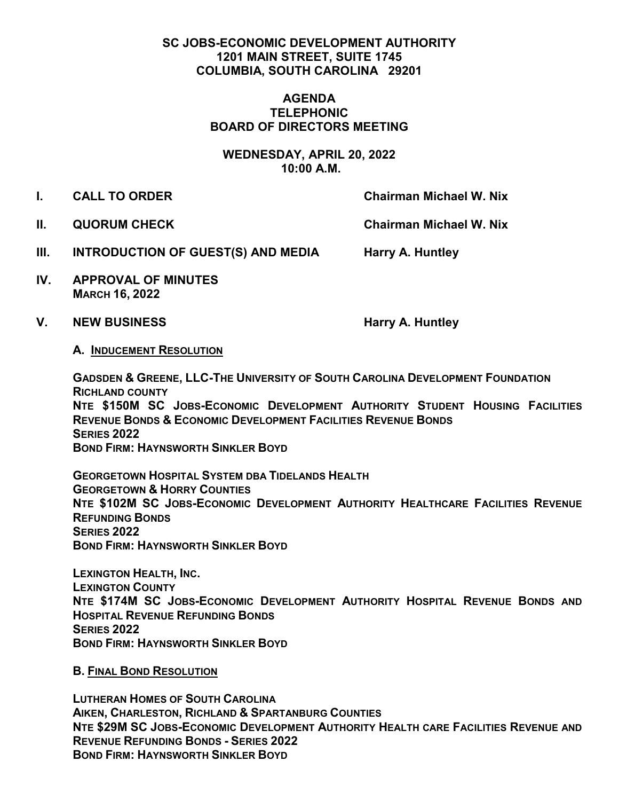## **SC JOBS-ECONOMIC DEVELOPMENT AUTHORITY 1201 MAIN STREET, SUITE 1745 COLUMBIA, SOUTH CAROLINA 29201**

### **AGENDA TELEPHONIC BOARD OF DIRECTORS MEETING**

**WEDNESDAY, APRIL 20, 2022 10:00 A.M.**

**I. CALL TO ORDER Chairman Michael W. Nix** 

**II. QUORUM CHECK Chairman Michael W. Nix** 

- **III.** INTRODUCTION OF GUEST(S) AND MEDIA Harry A. Huntley
- **IV. APPROVAL OF MINUTES MARCH 16, 2022**
- V. NEW BUSINESS **Harry A. Huntley**

## **A. INDUCEMENT RESOLUTION**

**GADSDEN & GREENE, LLC-THE UNIVERSITY OF SOUTH CAROLINA DEVELOPMENT FOUNDATION RICHLAND COUNTY NTE \$150M SC JOBS-ECONOMIC DEVELOPMENT AUTHORITY STUDENT HOUSING FACILITIES REVENUE BONDS & ECONOMIC DEVELOPMENT FACILITIES REVENUE BONDS SERIES 2022 BOND FIRM: HAYNSWORTH SINKLER BOYD**

**GEORGETOWN HOSPITAL SYSTEM DBA TIDELANDS HEALTH GEORGETOWN & HORRY COUNTIES NTE \$102M SC JOBS-ECONOMIC DEVELOPMENT AUTHORITY HEALTHCARE FACILITIES REVENUE REFUNDING BONDS SERIES 2022 BOND FIRM: HAYNSWORTH SINKLER BOYD** 

**LEXINGTON HEALTH, INC. LEXINGTON COUNTY NTE \$174M SC JOBS-ECONOMIC DEVELOPMENT AUTHORITY HOSPITAL REVENUE BONDS AND HOSPITAL REVENUE REFUNDING BONDS SERIES 2022 BOND FIRM: HAYNSWORTH SINKLER BOYD**

**B. FINAL BOND RESOLUTION** 

**LUTHERAN HOMES OF SOUTH CAROLINA AIKEN, CHARLESTON, RICHLAND & SPARTANBURG COUNTIES NTE \$29M SC JOBS-ECONOMIC DEVELOPMENT AUTHORITY HEALTH CARE FACILITIES REVENUE AND REVENUE REFUNDING BONDS - SERIES 2022 BOND FIRM: HAYNSWORTH SINKLER BOYD**